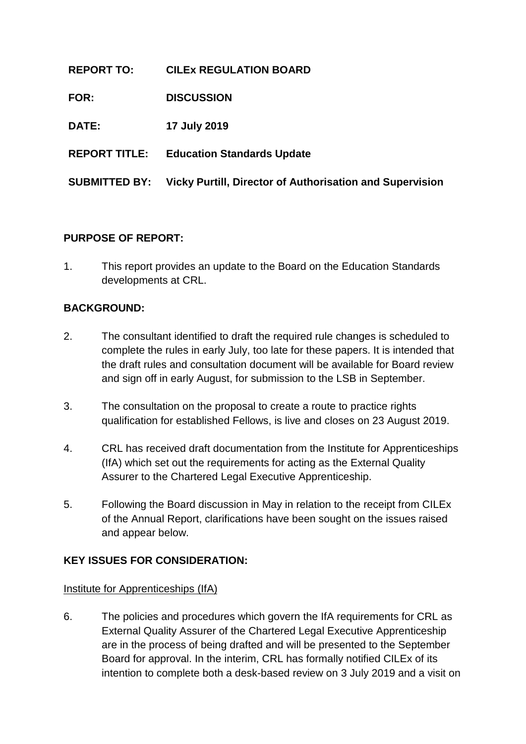| <b>REPORT TO:</b>    | <b>CILEX REGULATION BOARD</b>                                   |
|----------------------|-----------------------------------------------------------------|
| FOR:                 | <b>DISCUSSION</b>                                               |
| DATE:                | 17 July 2019                                                    |
| <b>REPORT TITLE:</b> | <b>Education Standards Update</b>                               |
| <b>SUBMITTED BY:</b> | <b>Vicky Purtill, Director of Authorisation and Supervision</b> |

## **PURPOSE OF REPORT:**

1. This report provides an update to the Board on the Education Standards developments at CRL.

### **BACKGROUND:**

- 2. The consultant identified to draft the required rule changes is scheduled to complete the rules in early July, too late for these papers. It is intended that the draft rules and consultation document will be available for Board review and sign off in early August, for submission to the LSB in September.
- 3. The consultation on the proposal to create a route to practice rights qualification for established Fellows, is live and closes on 23 August 2019.
- 4. CRL has received draft documentation from the Institute for Apprenticeships (IfA) which set out the requirements for acting as the External Quality Assurer to the Chartered Legal Executive Apprenticeship.
- 5. Following the Board discussion in May in relation to the receipt from CILEx of the Annual Report, clarifications have been sought on the issues raised and appear below.

### **KEY ISSUES FOR CONSIDERATION:**

### Institute for Apprenticeships (IfA)

6. The policies and procedures which govern the IfA requirements for CRL as External Quality Assurer of the Chartered Legal Executive Apprenticeship are in the process of being drafted and will be presented to the September Board for approval. In the interim, CRL has formally notified CILEx of its intention to complete both a desk-based review on 3 July 2019 and a visit on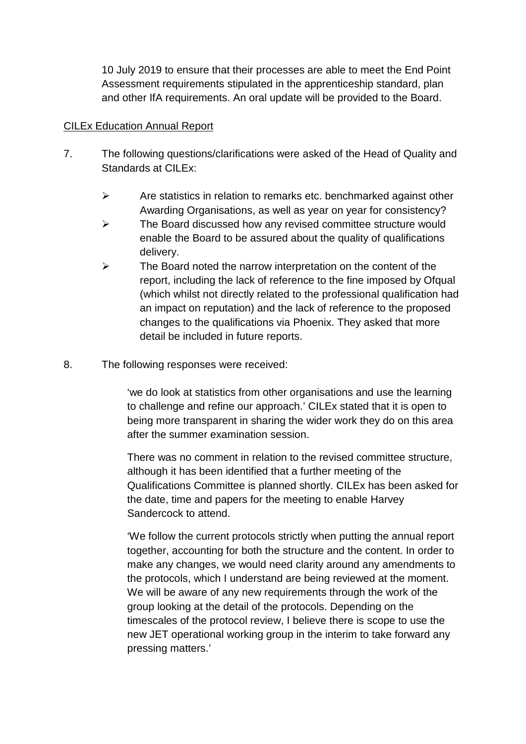10 July 2019 to ensure that their processes are able to meet the End Point Assessment requirements stipulated in the apprenticeship standard, plan and other IfA requirements. An oral update will be provided to the Board.

#### CILEx Education Annual Report

- 7. The following questions/clarifications were asked of the Head of Quality and Standards at CILEx:
	- $\triangleright$  Are statistics in relation to remarks etc. benchmarked against other Awarding Organisations, as well as year on year for consistency?
	- $\triangleright$  The Board discussed how any revised committee structure would enable the Board to be assured about the quality of qualifications delivery.
	- $\triangleright$  The Board noted the narrow interpretation on the content of the report, including the lack of reference to the fine imposed by Ofqual (which whilst not directly related to the professional qualification had an impact on reputation) and the lack of reference to the proposed changes to the qualifications via Phoenix. They asked that more detail be included in future reports.
- 8. The following responses were received:

'we do look at statistics from other organisations and use the learning to challenge and refine our approach.' CILEx stated that it is open to being more transparent in sharing the wider work they do on this area after the summer examination session.

There was no comment in relation to the revised committee structure, although it has been identified that a further meeting of the Qualifications Committee is planned shortly. CILEx has been asked for the date, time and papers for the meeting to enable Harvey Sandercock to attend.

'We follow the current protocols strictly when putting the annual report together, accounting for both the structure and the content. In order to make any changes, we would need clarity around any amendments to the protocols, which I understand are being reviewed at the moment. We will be aware of any new requirements through the work of the group looking at the detail of the protocols. Depending on the timescales of the protocol review, I believe there is scope to use the new JET operational working group in the interim to take forward any pressing matters.'